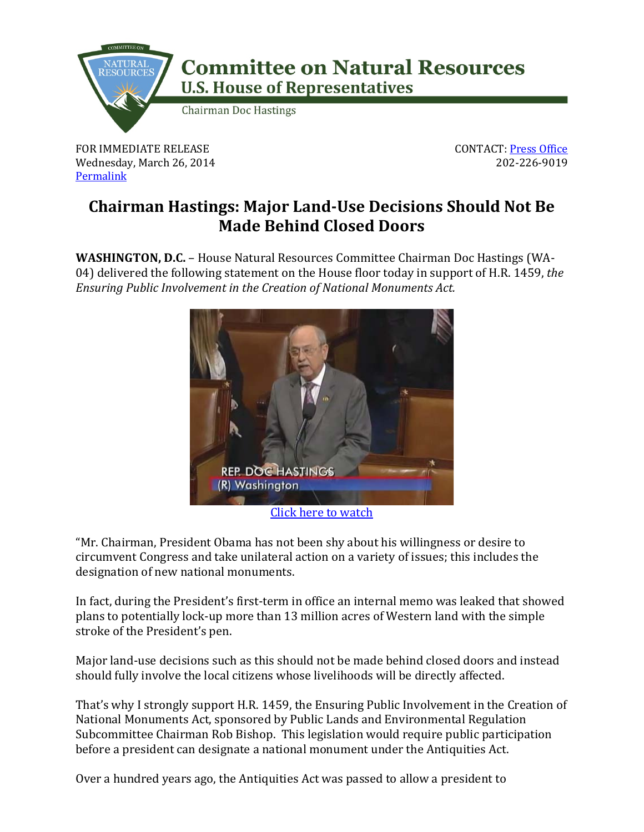

## **Committee on Natural Resources U.S. House of Representatives**

**Chairman Doc Hastings** 

FOR IMMEDIATE RELEASE Wednesday, March 26, 2014 [Permalink](http://naturalresources.house.gov/news/documentsingle.aspx?DocumentID=374247)

CONTACT: [Press Office](http://naturalresources.house.gov/contact/media.htm) 202-226-9019

## **Chairman Hastings: Major Land-Use Decisions Should Not Be Made Behind Closed Doors**

**WASHINGTON, D.C.** – House Natural Resources Committee Chairman Doc Hastings (WA-04) delivered the following statement on the House floor today in support of H.R. 1459, *the Ensuring Public Involvement in the Creation of National Monuments Act.*



[Click here to watch](http://www.youtube.com/watch?v=dpDWequclwk&feature=youtu.be)

"Mr. Chairman, President Obama has not been shy about his willingness or desire to circumvent Congress and take unilateral action on a variety of issues; this includes the designation of new national monuments.

In fact, during the President's first-term in office an internal memo was leaked that showed plans to potentially lock-up more than 13 million acres of Western land with the simple stroke of the President's pen.

Major land-use decisions such as this should not be made behind closed doors and instead should fully involve the local citizens whose livelihoods will be directly affected.

That's why I strongly support H.R. 1459, the Ensuring Public Involvement in the Creation of National Monuments Act, sponsored by Public Lands and Environmental Regulation Subcommittee Chairman Rob Bishop. This legislation would require public participation before a president can designate a national monument under the Antiquities Act.

Over a hundred years ago, the Antiquities Act was passed to allow a president to